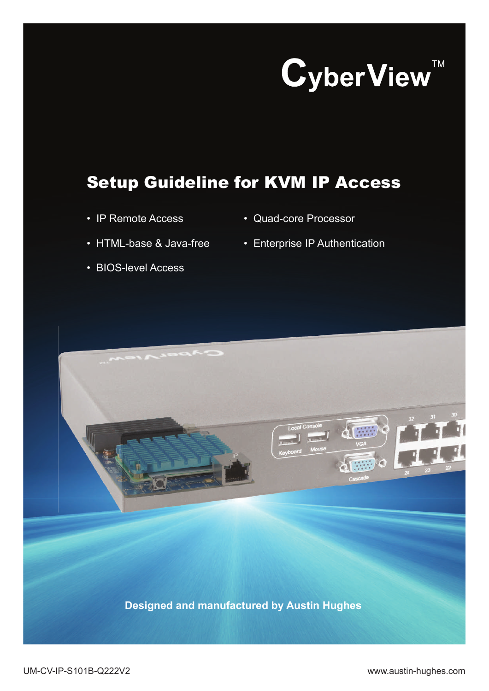CyberView<sup>TM</sup>

# Setup Guideline for KVM IP Access

- IP Remote Access
- Quad-core Processor

• Enterprise IP Authentication

- HTML-base & Java-free
- BIOS-level Access
- **Designed and manufactured by Austin Hughes**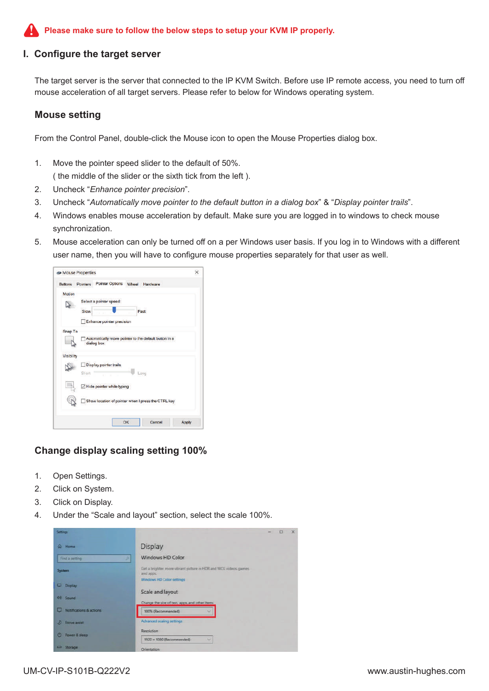#### **Please make sure to follow the below steps to setup your KVM IP properly.**

#### **I. Configure the target server**

The target server is the server that connected to the IP KVM Switch. Before use IP remote access, you need to turn off mouse acceleration of all target servers. Please refer to below for Windows operating system.

#### **Mouse setting**

From the Control Panel, double-click the Mouse icon to open the Mouse Properties dialog box.

- 1. Move the pointer speed slider to the default of 50%. ( the middle of the slider or the sixth tick from the left ).
- 2. Uncheck "*Enhance pointer precision*".
- 3. Uncheck "*Automatically move pointer to the default button in a dialog box*" & "*Display pointer trails*".
- 4. Windows enables mouse acceleration by default. Make sure you are logged in to windows to check mouse synchronization.
- 5. Mouse acceleration can only be turned off on a per Windows user basis. If you log in to Windows with a different user name, then you will have to configure mouse properties separately for that user as well.

|            | Buttons Pointers | Pointer Options Wheel Hardware                        |       |  |  |  |  |
|------------|------------------|-------------------------------------------------------|-------|--|--|--|--|
| Motion     |                  |                                                       |       |  |  |  |  |
|            |                  | Select a pointer speed:                               |       |  |  |  |  |
|            | Slow             | Fast                                                  |       |  |  |  |  |
|            |                  |                                                       |       |  |  |  |  |
|            |                  | Enhance pointer precision                             |       |  |  |  |  |
| Snap To    |                  |                                                       |       |  |  |  |  |
|            |                  | Automatically move pointer to the default button in a |       |  |  |  |  |
|            |                  | dialog box                                            |       |  |  |  |  |
| Visibility |                  |                                                       |       |  |  |  |  |
|            |                  | Display pointer trails                                |       |  |  |  |  |
|            | Short            | Long                                                  |       |  |  |  |  |
|            |                  |                                                       |       |  |  |  |  |
|            |                  | Hide pointer while typing                             |       |  |  |  |  |
|            |                  |                                                       |       |  |  |  |  |
|            |                  | Show location of pointer when I press the CTRL key    |       |  |  |  |  |
|            |                  |                                                       |       |  |  |  |  |
|            |                  |                                                       |       |  |  |  |  |
|            |                  | OK<br>Cancel                                          | Apply |  |  |  |  |

#### **Change display scaling setting 100%**

- 1. Open Settings.
- 2. Click on System.
- 3. Click on Display.
- 4. Under the "Scale and layout" section, select the scale 100%.

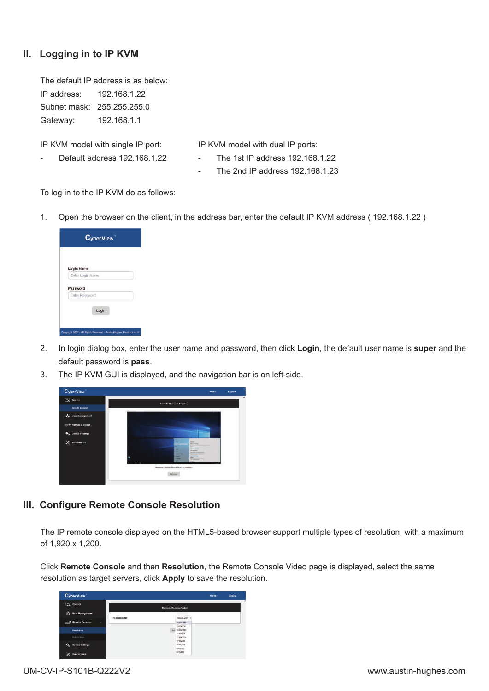# **II. Logging in to IP KVM**

The default IP address is as below: IP address: 192.168.1.22 Subnet mask: 255.255.255.0 Gateway: 192.168.1.1

IP KVM model with single IP port:

Default address 192.168.1.22

IP KVM model with dual IP ports:

- The 1st IP address 192.168.1.22
	- The 2nd IP address 192.168.1.23

To log in to the IP KVM do as follows:

1. Open the browser on the client, in the address bar, enter the default IP KVM address ( 192.168.1.22 )

| <b>Login Name</b> |  |  |
|-------------------|--|--|
| Enter Login Name  |  |  |
| Password          |  |  |
| Enter Password    |  |  |
|                   |  |  |

- 2. In login dialog box, enter the user name and password, then click **Login**, the default user name is **super** and the default password is **pass**.
- 3. The IP KVM GUI is displayed, and the navigation bar is on left-side.



## **III. Configure Remote Console Resolution**

The IP remote console displayed on the HTML5-based browser support multiple types of resolution, with a maximum of 1,920 x 1,200.

Click **Remote Console** and then **Resolution**, the Remote Console Video page is displayed, select the same resolution as target servers, click **Apply** to save the resolution.

| <b>CyberView</b>                               |                      |  |                                   |  | <b>Home</b> | Logout |
|------------------------------------------------|----------------------|--|-----------------------------------|--|-------------|--------|
| <b>EL Control</b><br><b>SA</b> User Management | Remote Console Video |  |                                   |  |             |        |
|                                                | Resolution Set       |  | 1120s1200                         |  |             |        |
| -O Remote Console<br>×                         |                      |  | 1005-1200                         |  |             |        |
|                                                |                      |  | 1900x1080                         |  |             |        |
| Resolution                                     |                      |  | Apr 1603x1203                     |  |             |        |
|                                                |                      |  | 1440x80E                          |  |             |        |
| Button Anys                                    |                      |  | 1280x1004                         |  |             |        |
|                                                |                      |  | 1203x724                          |  |             |        |
| ٥.<br><b>Device Settings</b>                   |                      |  | 1004/788                          |  |             |        |
|                                                |                      |  | strange.                          |  |             |        |
| Maintenance                                    |                      |  | 640x480<br><b><i>CONTRACT</i></b> |  |             |        |